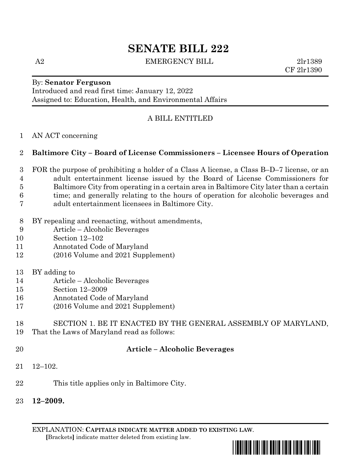# **SENATE BILL 222**

A2 EMERGENCY BILL 2lr1389

CF 2lr1390

## By: **Senator Ferguson**

Introduced and read first time: January 12, 2022 Assigned to: Education, Health, and Environmental Affairs

### A BILL ENTITLED

AN ACT concerning

### **Baltimore City – Board of License Commissioners – Licensee Hours of Operation**

- FOR the purpose of prohibiting a holder of a Class A license, a Class B–D–7 license, or an adult entertainment license issued by the Board of License Commissioners for
- Baltimore City from operating in a certain area in Baltimore City later than a certain
- time; and generally relating to the hours of operation for alcoholic beverages and
- adult entertainment licensees in Baltimore City.
- BY repealing and reenacting, without amendments,
- Article Alcoholic Beverages
- Section 12–102
- Annotated Code of Maryland
- (2016 Volume and 2021 Supplement)
- BY adding to
- Article Alcoholic Beverages
- Section 12–2009
- Annotated Code of Maryland
- (2016 Volume and 2021 Supplement)
- SECTION 1. BE IT ENACTED BY THE GENERAL ASSEMBLY OF MARYLAND, That the Laws of Maryland read as follows:
- 

#### **Article – Alcoholic Beverages**

- 12–102.
- This title applies only in Baltimore City.
- **12–2009.**

EXPLANATION: **CAPITALS INDICATE MATTER ADDED TO EXISTING LAW**.  **[**Brackets**]** indicate matter deleted from existing law.